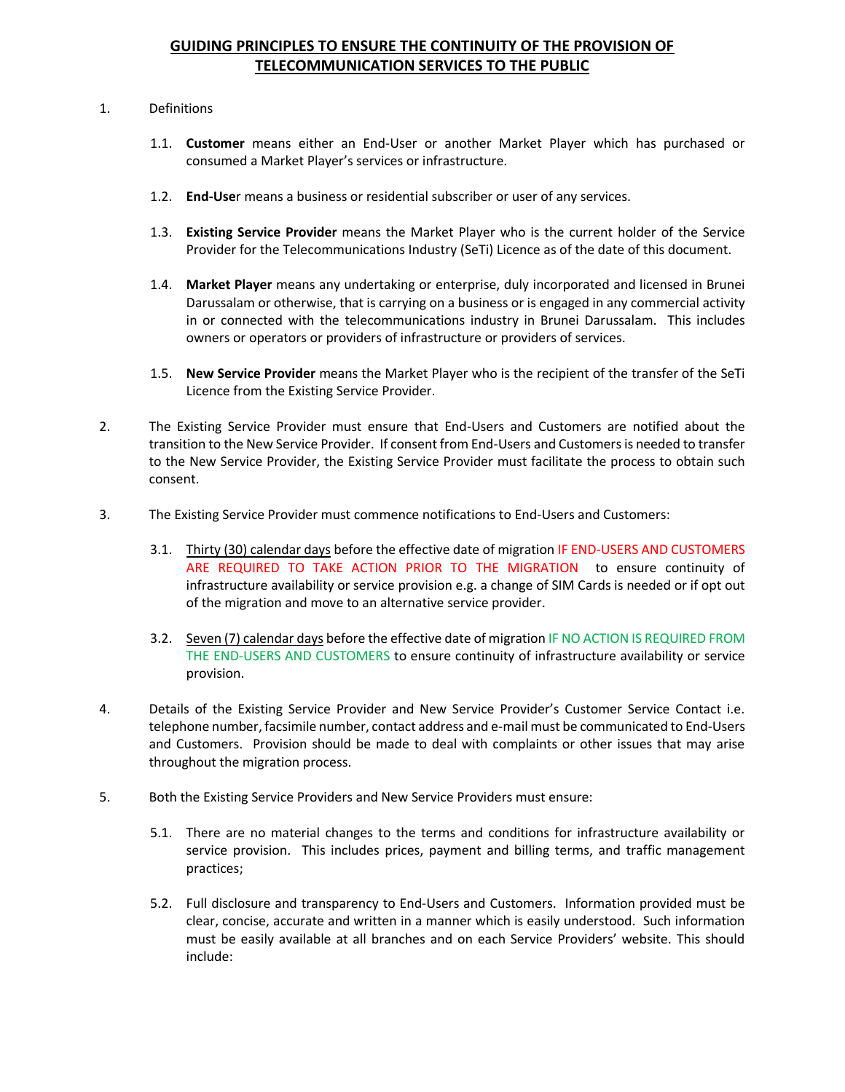## **GUIDING PRINCIPLES TO ENSURE THE CONTINUITY OF THE PROVISION OF TELECOMMUNICATION SERVICES TO THE PUBLIC**

## 1. Definitions

- 1.1. **Customer** means either an End-User or another Market Player which has purchased or consumed a Market Player's services or infrastructure.
- 1.2. **End-Use**r means a business or residential subscriber or user of any services.
- 1.3. **Existing Service Provider** means the Market Player who is the current holder of the Service Provider for the Telecommunications Industry (SeTi) Licence as of the date of this document.
- 1.4. **Market Player** means any undertaking or enterprise, duly incorporated and licensed in Brunei Darussalam or otherwise, that is carrying on a business or is engaged in any commercial activity in or connected with the telecommunications industry in Brunei Darussalam. This includes owners or operators or providers of infrastructure or providers of services.
- 1.5. **New Service Provider** means the Market Player who is the recipient of the transfer of the SeTi Licence from the Existing Service Provider.
- 2. The Existing Service Provider must ensure that End-Users and Customers are notified about the transition to the New Service Provider. If consent from End-Users and Customers is needed to transfer to the New Service Provider, the Existing Service Provider must facilitate the process to obtain such consent.
- 3. The Existing Service Provider must commence notifications to End-Users and Customers:
	- 3.1. Thirty (30) calendar days before the effective date of migration IF END-USERS AND CUSTOMERS ARE REQUIRED TO TAKE ACTION PRIOR TO THE MIGRATION to ensure continuity of infrastructure availability or service provision e.g. a change of SIM Cards is needed or if opt out of the migration and move to an alternative service provider.
	- 3.2. Seven (7) calendar days before the effective date of migration IF NO ACTION IS REQUIRED FROM THE END-USERS AND CUSTOMERS to ensure continuity of infrastructure availability or service provision.
- 4. Details of the Existing Service Provider and New Service Provider's Customer Service Contact i.e. telephone number, facsimile number, contact address and e-mail must be communicated to End-Users and Customers. Provision should be made to deal with complaints or other issues that may arise throughout the migration process.
- 5. Both the Existing Service Providers and New Service Providers must ensure:
	- 5.1. There are no material changes to the terms and conditions for infrastructure availability or service provision. This includes prices, payment and billing terms, and traffic management practices;
	- 5.2. Full disclosure and transparency to End-Users and Customers. Information provided must be clear, concise, accurate and written in a manner which is easily understood. Such information must be easily available at all branches and on each Service Providers' website. This should include: